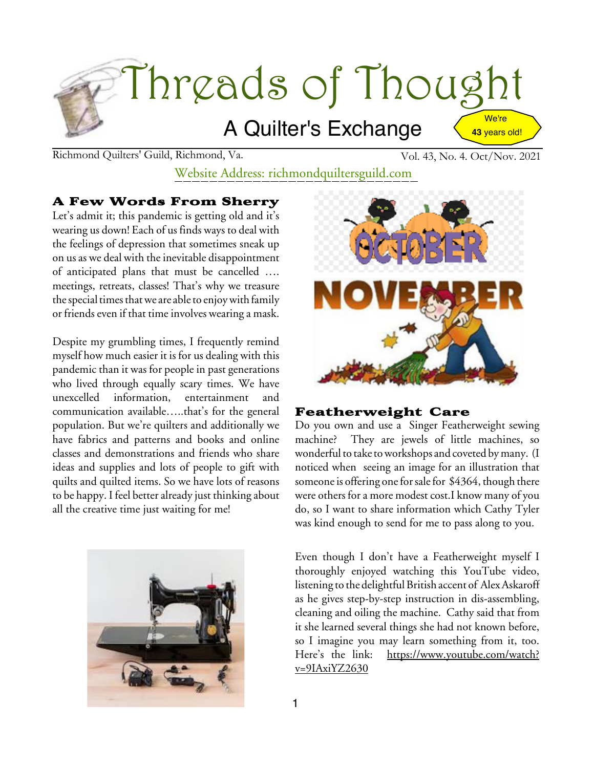

Richmond Quilters' Guild, Richmond, Va. Vol. 43, No. 4. Oct/Nov. 2021

Website Address: richmondquiltersguild.com

# A Few Words From Sherry

Let's admit it; this pandemic is getting old and it's wearing us down! Each of us finds ways to deal with the feelings of depression that sometimes sneak up on us as we deal with the inevitable disappointment of anticipated plans that must be cancelled …. meetings, retreats, classes! That's why we treasure the special times that we are able to enjoy with family or friends even if that time involves wearing a mask.

Despite my grumbling times, I frequently remind myself how much easier it is for us dealing with this pandemic than it was for people in past generations who lived through equally scary times. We have unexcelled information, entertainment and communication available…..that's for the general population. But we're quilters and additionally we have fabrics and patterns and books and online classes and demonstrations and friends who share ideas and supplies and lots of people to gift with quilts and quilted items. So we have lots of reasons to be happy. I feel better already just thinking about all the creative time just waiting for me!





## Featherweight Care

Do you own and use a Singer Featherweight sewing machine? They are jewels of little machines, so wonderful to take to workshops and coveted by many. (I noticed when seeing an image for an illustration that someone is offering one for sale for \$4364, though there were others for a more modest cost.I know many of you do, so I want to share information which Cathy Tyler was kind enough to send for me to pass along to you.

Even though I don't have a Featherweight myself I thoroughly enjoyed watching this YouTube video, listening to the delightful British accent of Alex Askaroff as he gives step-by-step instruction in dis-assembling, cleaning and oiling the machine. Cathy said that from it she learned several things she had not known before, so I imagine you may learn something from it, too. Here's the link: [https://www.youtube.com/watch?](https://www.youtube.com/watch?v=9IAxiYZ2630)  $v=9$ IAxiYZ2630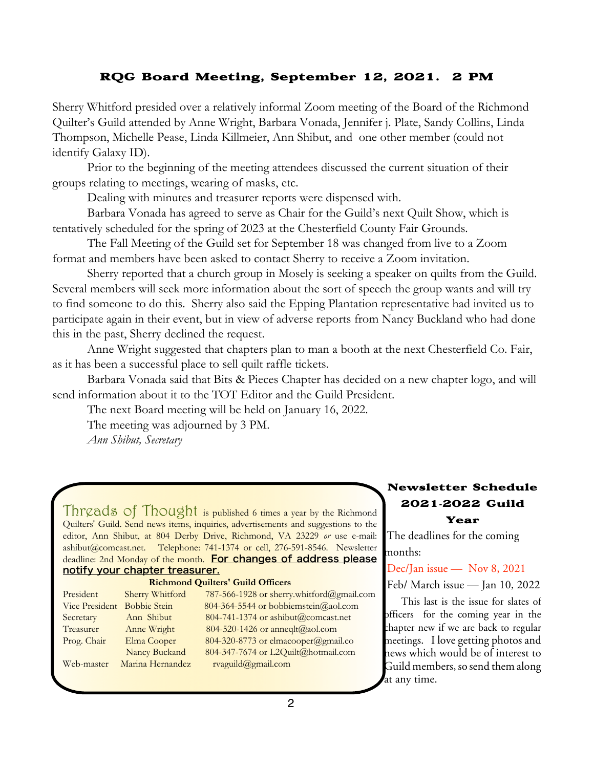## RQG Board Meeting, September 12, 2021. 2 PM

Sherry Whitford presided over a relatively informal Zoom meeting of the Board of the Richmond Quilter's Guild attended by Anne Wright, Barbara Vonada, Jennifer j. Plate, Sandy Collins, Linda Thompson, Michelle Pease, Linda Killmeier, Ann Shibut, and one other member (could not identify Galaxy ID).

Prior to the beginning of the meeting attendees discussed the current situation of their groups relating to meetings, wearing of masks, etc.

Dealing with minutes and treasurer reports were dispensed with.

Barbara Vonada has agreed to serve as Chair for the Guild's next Quilt Show, which is tentatively scheduled for the spring of 2023 at the Chesterfield County Fair Grounds.

The Fall Meeting of the Guild set for September 18 was changed from live to a Zoom format and members have been asked to contact Sherry to receive a Zoom invitation.

Sherry reported that a church group in Mosely is seeking a speaker on quilts from the Guild. Several members will seek more information about the sort of speech the group wants and will try to find someone to do this. Sherry also said the Epping Plantation representative had invited us to participate again in their event, but in view of adverse reports from Nancy Buckland who had done this in the past, Sherry declined the request.

Anne Wright suggested that chapters plan to man a booth at the next Chesterfield Co. Fair, as it has been a successful place to sell quilt raffle tickets.

Barbara Vonada said that Bits & Pieces Chapter has decided on a new chapter logo, and will send information about it to the TOT Editor and the Guild President.

The next Board meeting will be held on January 16, 2022.

The meeting was adjourned by 3 PM.

*Ann Shibut, Secretary*

Threads of Thought is published 6 times a year by the Richmond Quilters' Guild. Send news items, inquiries, advertisements and suggestions to the editor, Ann Shibut, at 804 Derby Drive, Richmond, VA 23229 *or* use e-mail: ashibut@comcast.net. Telephone: 741-1374 or cell, 276-591-8546. Newsletter deadline: 2nd Monday of the month. For changes of address please notify your chapter treasurer.

#### **Richmond Quilters' Guild Officers**

| President                   | Sherry Whitford  | 787-566-1928 or sherry.whitford@gmail.com |
|-----------------------------|------------------|-------------------------------------------|
| Vice President Bobbie Stein |                  | 804-364-5544 or bobbiemstein@aol.com      |
| Secretary                   | Ann Shibut       | 804-741-1374 or ashibut@comcast.net       |
| Treasurer                   | Anne Wright      | 804-520-1426 or anneqlt@aol.com           |
| Prog. Chair                 | Elma Cooper      | 804-320-8773 or elmacooper@gmail.co       |
|                             | Nancy Buckand    | 804-347-7674 or L2Quilt@hotmail.com       |
| Web-master                  | Marina Hernandez | rvaguild@gmail.com                        |

### Newsletter Schedule 2021**-**2022 Guild Year

The deadlines for the coming months:

Dec/Jan issue — Nov 8, 2021

Feb/ March issue — Jan 10, 2022

This last is the issue for slates of officers for the coming year in the chapter new if we are back to regular meetings. I love getting photos and news which would be of interest to Guild members, so send them along at any time.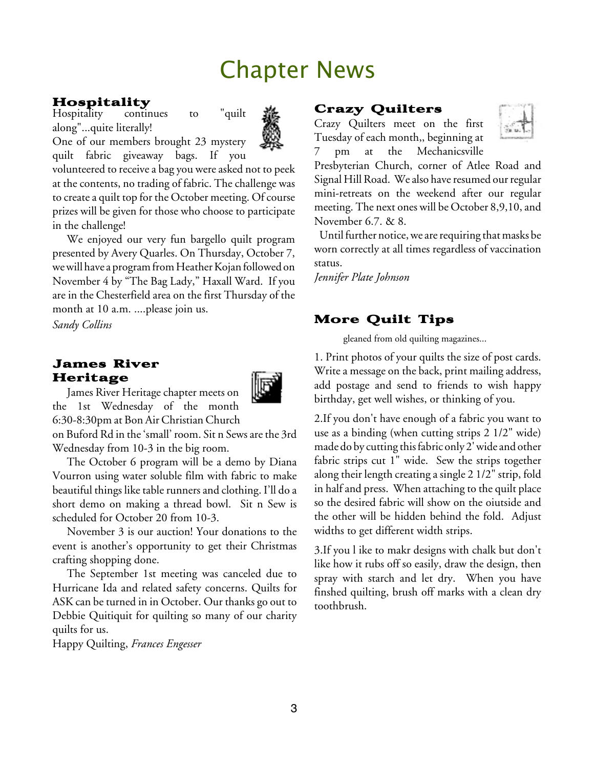# Chapter News

## Hospitality

Hospitality continues to "quilt along"...quite literally!



One of our members brought 23 mystery quilt fabric giveaway bags. If you

volunteered to receive a bag you were asked not to peek at the contents, no trading of fabric. The challenge was to create a quilt top for the October meeting. Of course prizes will be given for those who choose to participate in the challenge!

We enjoyed our very fun bargello quilt program presented by Avery Quarles. On Thursday, October 7, we will have a program from Heather Kojan followed on November 4 by "The Bag Lady," Haxall Ward. If you are in the Chesterfield area on the first Thursday of the month at 10 a.m. ....please join us.

*Sandy Collins*

### James River Heritage



James River Heritage chapter meets on the 1st Wednesday of the month 6:30-8:30pm at Bon Air Christian Church

on Buford Rd in the'small' room. Sit n Sews arethe 3rd Wednesday from 10-3 in the big room.

The October 6 program will be a demo by Diana Vourron using water soluble film with fabric to make beautiful things like table runners and clothing. I'll do a short demo on making a thread bowl. Sit n Sew is scheduled for October 20 from 10-3.

November 3 is our auction! Your donations to the event is another's opportunity to get their Christmas crafting shopping done.

The September 1st meeting was canceled due to Hurricane Ida and related safety concerns. Quilts for ASK can be turned in in October. Our thanks go out to Debbie Quitiquit for quilting so many of our charity quilts for us.

Happy Quilting, *Frances Engesser*

#### Crazy Quilters

Crazy Quilters meet on the first Tuesday of each month,, beginning at 7 pm at the Mechanicsville



Presbyterian Church, corner of Atlee Road and Signal Hill Road. We also have resumed our regular mini-retreats on the weekend after our regular meeting. The next ones will be October 8,9,10, and November 6.7. & 8.

Until further notice, we are requiring that masks be worn correctly at all times regardless of vaccination status.

*Jennifer Plate Johnson*

# More Quilt Tips

gleaned from old quilting magazines...

1. Print photos of your quilts the size of post cards. Write a message on the back, print mailing address, add postage and send to friends to wish happy birthday, get well wishes, or thinking of you.

2.If you don't have enough of a fabric you want to use as a binding (when cutting strips 2 1/2" wide) made do by cutting thisfabric only 2'wide and other fabric strips cut 1" wide. Sew the strips together along their length creating a single 2 1/2" strip, fold in half and press. When attaching to the quilt place so the desired fabric will show on the oiutside and the other will be hidden behind the fold. Adjust widths to get different width strips.

3.If you l ike to makr designs with chalk but don't like how it rubs off so easily, draw the design, then spray with starch and let dry. When you have finshed quilting, brush off marks with a clean dry toothbrush.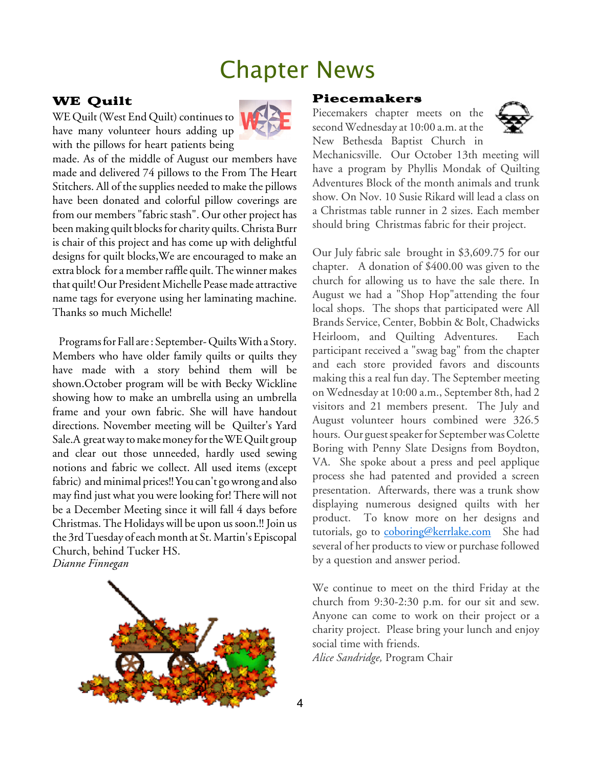# Chapter News

### WE Quilt

WE Quilt (West End Quilt) continues to have many volunteer hours adding up with the pillows for heart patients being



made. As of the middle of August our members have made and delivered 74 pillows to the From The Heart Stitchers. All of the supplies needed to make the pillows have been donated and colorful pillow coverings are from our members "fabric stash". Our other project has been making quilt blocks for charity quilts. Christa Burr is chair of this project and has come up with delightful designs for quilt blocks,We are encouraged to make an extra block for a member raffle quilt. The winner makes that quilt! Our President Michelle Pease made attractive name tags for everyone using her laminating machine. Thanks so much Michelle!

Programs for Fall are: September-Quilts With a Story. Members who have older family quilts or quilts they have made with a story behind them will be shown.October program will be with Becky Wickline showing how to make an umbrella using an umbrella frame and your own fabric. She will have handout directions. November meeting will be Quilter's Yard Sale.A great way to make money for the WE Quilt group and clear out those unneeded, hardly used sewing notions and fabric we collect. All used items (except fabric) and minimal prices!! You can't go wrong and also may find just what you were looking for! There will not be a December Meeting since it will fall 4 days before Christmas. The Holidays will be upon us soon.!! Join us the 3rd Tuesday of each month at St. Martin's Episcopal Church, behind Tucker HS. *Dianne Finnegan*



#### Piecemakers

Piecemakers chapter meets on the second Wednesday at 10:00 a.m. at the New Bethesda Baptist Church in



Mechanicsville. Our October 13th meeting will have a program by Phyllis Mondak of Quilting Adventures Block of the month animals and trunk show. On Nov. 10 Susie Rikard will lead a class on a Christmas table runner in 2 sizes. Each member should bring Christmas fabric for their project.

Our July fabric sale brought in \$3,609.75 for our chapter. A donation of \$400.00 was given to the church for allowing us to have the sale there. In August we had a "Shop Hop"attending the four local shops. The shops that participated were All Brands Service, Center, Bobbin & Bolt, Chadwicks Heirloom, and Quilting Adventures. Each participant received a "swag bag" from the chapter and each store provided favors and discounts making this a real fun day. The September meeting on Wednesday at 10:00 a.m., September 8th, had 2 visitors and 21 members present. The July and August volunteer hours combined were 326.5 hours. Our guest speaker for September was Colette Boring with Penny Slate Designs from Boydton, VA. She spoke about a press and peel applique process she had patented and provided a screen presentation. Afterwards, there was a trunk show displaying numerous designed quilts with her product. To know more on her designs and tutorials, go to [coboring@kerrlake.com](mailto:coboring@kerrlake.com) She had several of her products to view or purchase followed by a question and answer period.

We continue to meet on the third Friday at the church from 9:30-2:30 p.m. for our sit and sew. Anyone can come to work on their project or a charity project. Please bring your lunch and enjoy social time with friends.

*Alice Sandridge,* Program Chair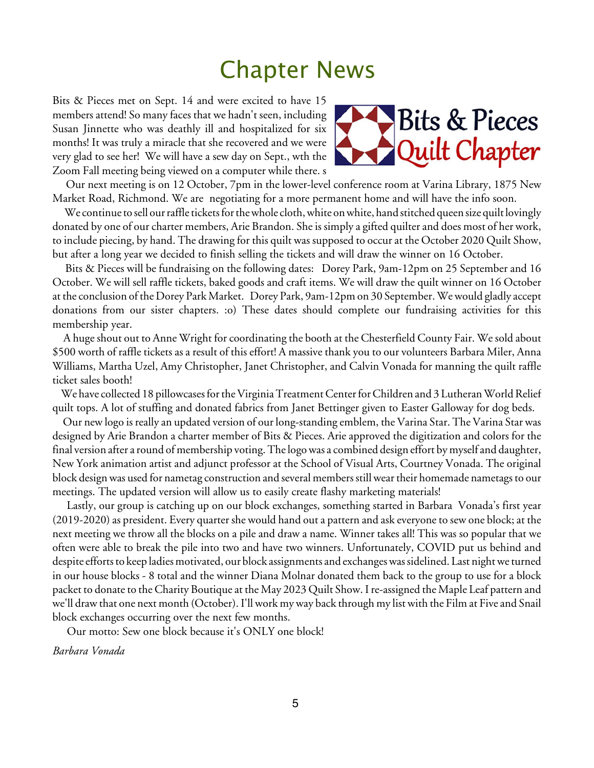# Chapter News

Bits & Pieces met on Sept. 14 and were excited to have 15 members attend! So many faces that we hadn't seen, including Susan Jinnette who was deathly ill and hospitalized for six months! It was truly a miracle that she recovered and we were very glad to see her! We will have a sew day on Sept., wth the Zoom Fall meeting being viewed on a computer while there. s



Our next meeting is on 12 October, 7pm in the lower-level conference room at Varina Library, 1875 New Market Road, Richmond. We are negotiating for a more permanent home and will have the info soon.

We continue to sell our raffle tickets for the whole cloth, white on white, hand stitched queen size quilt lovingly donated by one of our charter members, Arie Brandon. She is simply a gifted quilter and does most of her work, to include piecing, by hand. The drawing for this quilt was supposed to occur at the October 2020 Quilt Show, but after a long year we decided to finish selling the tickets and will draw the winner on 16 October.

Bits & Pieces will be fundraising on the following dates: Dorey Park, 9am-12pm on 25 September and 16 October. We will sell raffle tickets, baked goods and craft items. We will draw the quilt winner on 16 October at the conclusion of the Dorey Park Market. Dorey Park, 9am-12pm on 30 September.Wewould gladly accept donations from our sister chapters. :o) These dates should complete our fundraising activities for this membership year.

A huge shout out to Anne Wright for coordinating the booth at the Chesterfield County Fair. We sold about \$500 worth of raffle tickets as a result of this effort! A massive thank you to our volunteers Barbara Miler, Anna Williams, Martha Uzel, Amy Christopher, Janet Christopher, and Calvin Vonada for manning the quilt raffle ticket sales booth!

We have collected 18 pillowcases for the Virginia Treatment Center for Children and 3 Lutheran World Relief quilt tops. A lot of stuffing and donated fabrics from Janet Bettinger given to Easter Galloway for dog beds.

Our new logo is really an updated version of our long-standing emblem, the Varina Star. The Varina Star was designed by Arie Brandon a charter member of Bits & Pieces. Arie approved the digitization and colors for the final version after a round of membership voting. The logo was a combined design effort by myself and daughter, New York animation artist and adjunct professor at the School of Visual Arts, Courtney Vonada. The original block design was used for nametag construction and several members still wear their homemade nametags to our meetings. The updated version will allow us to easily create flashy marketing materials!

Lastly, our group is catching up on our block exchanges, something started in Barbara Vonada's first year (2019-2020) as president. Every quarter she would hand out a pattern and ask everyoneto sew one block; at the next meeting we throw all the blocks on a pile and draw a name. Winner takes all! This was so popular that we often were able to break the pile into two and have two winners. Unfortunately, COVID put us behind and despite efforts to keep ladies motivated, our block assignments and exchanges was sidelined. Last night we turned in our house blocks - 8 total and the winner Diana Molnar donated them back to the group to use for a block packet to donate to the Charity Boutique at the May 2023 Quilt Show. I re-assigned the Maple Leaf pattern and we'll draw that one next month (October).I'll work my way back through my list with the Film at Five and Snail block exchanges occurring over the next few months.

Our motto: Sew one block because it's ONLY one block!

*Barbara Vonada*